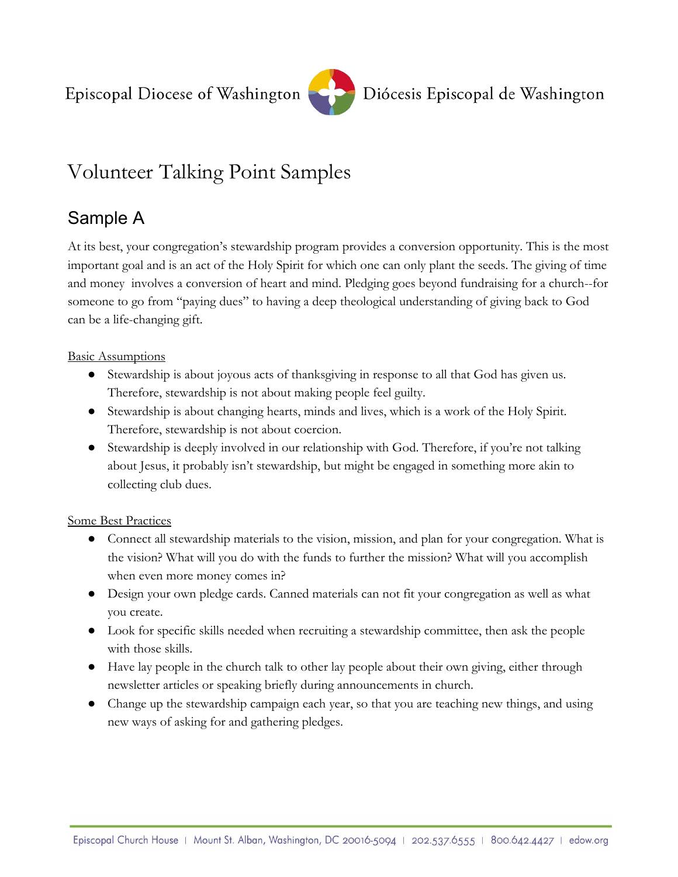

# Volunteer Talking Point Samples

### Sample A

At its best, your congregation's stewardship program provides a conversion opportunity. This is the most important goal and is an act of the Holy Spirit for which one can only plant the seeds. The giving of time and money involves a conversion of heart and mind. Pledging goes beyond fundraising for a church--for someone to go from "paying dues" to having a deep theological understanding of giving back to God can be a life-changing gift.

#### **Basic Assumptions**

- Stewardship is about joyous acts of thanksgiving in response to all that God has given us. Therefore, stewardship is not about making people feel guilty.
- Stewardship is about changing hearts, minds and lives, which is a work of the Holy Spirit. Therefore, stewardship is not about coercion.
- Stewardship is deeply involved in our relationship with God. Therefore, if you're not talking about Jesus, it probably isn't stewardship, but might be engaged in something more akin to collecting club dues.

#### Some Best Practices

- Connect all stewardship materials to the vision, mission, and plan for your congregation. What is the vision? What will you do with the funds to further the mission? What will you accomplish when even more money comes in?
- Design your own pledge cards. Canned materials can not fit your congregation as well as what you create.
- Look for specific skills needed when recruiting a stewardship committee, then ask the people with those skills.
- Have lay people in the church talk to other lay people about their own giving, either through newsletter articles or speaking briefly during announcements in church.
- Change up the stewardship campaign each year, so that you are teaching new things, and using new ways of asking for and gathering pledges.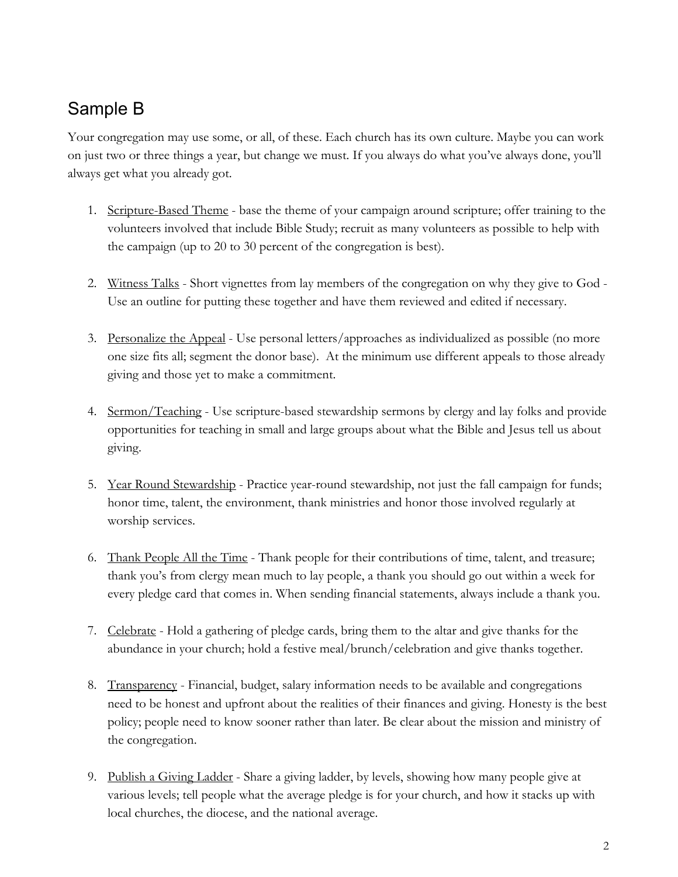## Sample B

Your congregation may use some, or all, of these. Each church has its own culture. Maybe you can work on just two or three things a year, but change we must. If you always do what you've always done, you'll always get what you already got.

- 1. Scripture-Based Theme base the theme of your campaign around scripture; offer training to the volunteers involved that include Bible Study; recruit as many volunteers as possible to help with the campaign (up to 20 to 30 percent of the congregation is best).
- 2. Witness Talks Short vignettes from lay members of the congregation on why they give to God Use an outline for putting these together and have them reviewed and edited if necessary.
- 3. Personalize the Appeal Use personal letters/approaches as individualized as possible (no more one size fits all; segment the donor base). At the minimum use different appeals to those already giving and those yet to make a commitment.
- 4. Sermon/Teaching Use scripture-based stewardship sermons by clergy and lay folks and provide opportunities for teaching in small and large groups about what the Bible and Jesus tell us about giving.
- 5. Year Round Stewardship Practice year-round stewardship, not just the fall campaign for funds; honor time, talent, the environment, thank ministries and honor those involved regularly at worship services.
- 6. Thank People All the Time Thank people for their contributions of time, talent, and treasure; thank you's from clergy mean much to lay people, a thank you should go out within a week for every pledge card that comes in. When sending financial statements, always include a thank you.
- 7. Celebrate Hold a gathering of pledge cards, bring them to the altar and give thanks for the abundance in your church; hold a festive meal/brunch/celebration and give thanks together.
- 8. Transparency Financial, budget, salary information needs to be available and congregations need to be honest and upfront about the realities of their finances and giving. Honesty is the best policy; people need to know sooner rather than later. Be clear about the mission and ministry of the congregation.
- 9. Publish a Giving Ladder Share a giving ladder, by levels, showing how many people give at various levels; tell people what the average pledge is for your church, and how it stacks up with local churches, the diocese, and the national average.